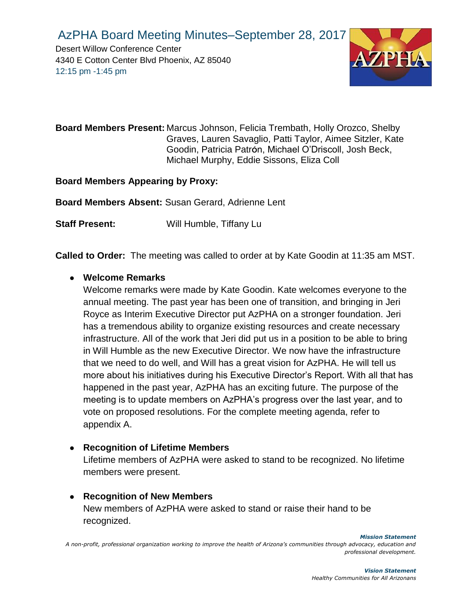Desert Willow Conference Center 4340 E Cotton Center Blvd Phoenix, AZ 85040 12:15 pm -1:45 pm



**Board Members Present:** Marcus Johnson, Felicia Trembath, Holly Orozco, Shelby Graves, Lauren Savaglio, Patti Taylor, Aimee Sitzler, Kate Goodin, Patricia Patrón, Michael O'Driscoll, Josh Beck, Michael Murphy, Eddie Sissons, Eliza Coll

**Board Members Appearing by Proxy:**

**Board Members Absent:** Susan Gerard, Adrienne Lent

**Staff Present:** Will Humble, Tiffany Lu

**Called to Order:** The meeting was called to order at by Kate Goodin at 11:35 am MST.

#### ● **Welcome Remarks**

Welcome remarks were made by Kate Goodin. Kate welcomes everyone to the annual meeting. The past year has been one of transition, and bringing in Jeri Royce as Interim Executive Director put AzPHA on a stronger foundation. Jeri has a tremendous ability to organize existing resources and create necessary infrastructure. All of the work that Jeri did put us in a position to be able to bring in Will Humble as the new Executive Director. We now have the infrastructure that we need to do well, and Will has a great vision for AzPHA. He will tell us more about his initiatives during his Executive Director's Report. With all that has happened in the past year, AzPHA has an exciting future. The purpose of the meeting is to update members on AzPHA's progress over the last year, and to vote on proposed resolutions. For the complete meeting agenda, refer to appendix A.

#### ● **Recognition of Lifetime Members**

Lifetime members of AzPHA were asked to stand to be recognized. No lifetime members were present.

● **Recognition of New Members** New members of AzPHA were asked to stand or raise their hand to be recognized.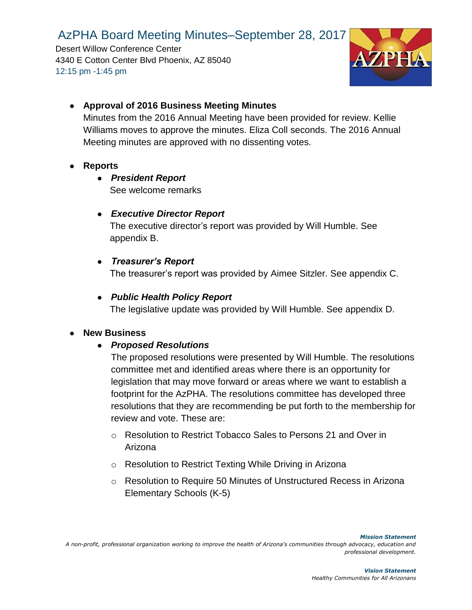Desert Willow Conference Center 4340 E Cotton Center Blvd Phoenix, AZ 85040 12:15 pm -1:45 pm



### ● **Approval of 2016 Business Meeting Minutes**

Minutes from the 2016 Annual Meeting have been provided for review. Kellie Williams moves to approve the minutes. Eliza Coll seconds. The 2016 Annual Meeting minutes are approved with no dissenting votes.

#### ● **Reports**

● *President Report*

See welcome remarks

#### ● *Executive Director Report*

The executive director's report was provided by Will Humble. See appendix B.

#### ● *Treasurer's Report*

The treasurer's report was provided by Aimee Sitzler. See appendix C.

#### ● *Public Health Policy Report*

The legislative update was provided by Will Humble. See appendix D.

#### ● **New Business**

#### ● *Proposed Resolutions*

The proposed resolutions were presented by Will Humble. The resolutions committee met and identified areas where there is an opportunity for legislation that may move forward or areas where we want to establish a footprint for the AzPHA. The resolutions committee has developed three resolutions that they are recommending be put forth to the membership for review and vote. These are:

- o Resolution to Restrict Tobacco Sales to Persons 21 and Over in Arizona
- o Resolution to Restrict Texting While Driving in Arizona
- o Resolution to Require 50 Minutes of Unstructured Recess in Arizona Elementary Schools (K-5)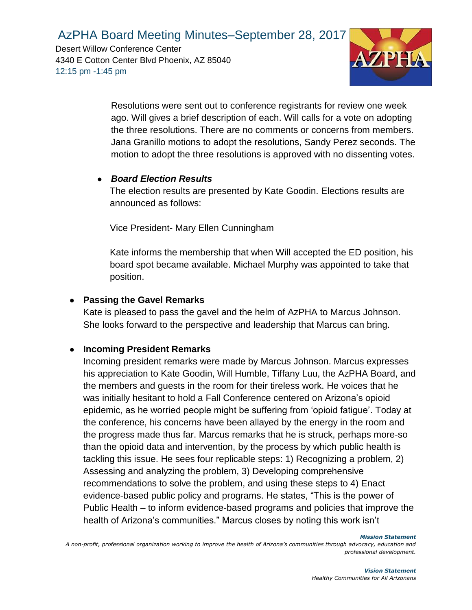Desert Willow Conference Center 4340 E Cotton Center Blvd Phoenix, AZ 85040 12:15 pm -1:45 pm



Resolutions were sent out to conference registrants for review one week ago. Will gives a brief description of each. Will calls for a vote on adopting the three resolutions. There are no comments or concerns from members. Jana Granillo motions to adopt the resolutions, Sandy Perez seconds. The motion to adopt the three resolutions is approved with no dissenting votes.

#### ● *Board Election Results*

The election results are presented by Kate Goodin. Elections results are announced as follows:

Vice President- Mary Ellen Cunningham

Kate informs the membership that when Will accepted the ED position, his board spot became available. Michael Murphy was appointed to take that position.

#### ● **Passing the Gavel Remarks**

Kate is pleased to pass the gavel and the helm of AzPHA to Marcus Johnson. She looks forward to the perspective and leadership that Marcus can bring.

#### ● **Incoming President Remarks**

Incoming president remarks were made by Marcus Johnson. Marcus expresses his appreciation to Kate Goodin, Will Humble, Tiffany Luu, the AzPHA Board, and the members and guests in the room for their tireless work. He voices that he was initially hesitant to hold a Fall Conference centered on Arizona's opioid epidemic, as he worried people might be suffering from 'opioid fatigue'. Today at the conference, his concerns have been allayed by the energy in the room and the progress made thus far. Marcus remarks that he is struck, perhaps more-so than the opioid data and intervention, by the process by which public health is tackling this issue. He sees four replicable steps: 1) Recognizing a problem, 2) Assessing and analyzing the problem, 3) Developing comprehensive recommendations to solve the problem, and using these steps to 4) Enact evidence-based public policy and programs. He states, "This is the power of Public Health – to inform evidence-based programs and policies that improve the health of Arizona's communities." Marcus closes by noting this work isn't

*Mission Statement*

*A non-profit, professional organization working to improve the health of Arizona's communities through advocacy, education and professional development.*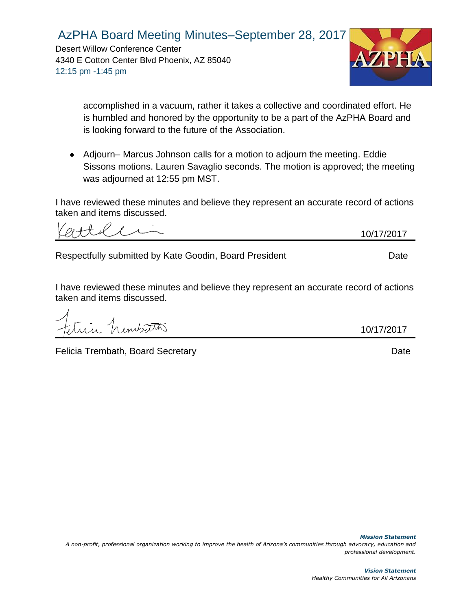Desert Willow Conference Center 4340 E Cotton Center Blvd Phoenix, AZ 85040 12:15 pm -1:45 pm



accomplished in a vacuum, rather it takes a collective and coordinated effort. He is humbled and honored by the opportunity to be a part of the AzPHA Board and is looking forward to the future of the Association.

● Adjourn– Marcus Johnson calls for a motion to adjourn the meeting. Eddie Sissons motions. Lauren Savaglio seconds. The motion is approved; the meeting was adjourned at 12:55 pm MST.

I have reviewed these minutes and believe they represent an accurate record of actions taken and items discussed.

10/17/2017

Respectfully submitted by Kate Goodin, Board President Network Chate

I have reviewed these minutes and believe they represent an accurate record of actions taken and items discussed.

Felicia Trembath, Board Secretary Date Controllery Date Date

10/17/2017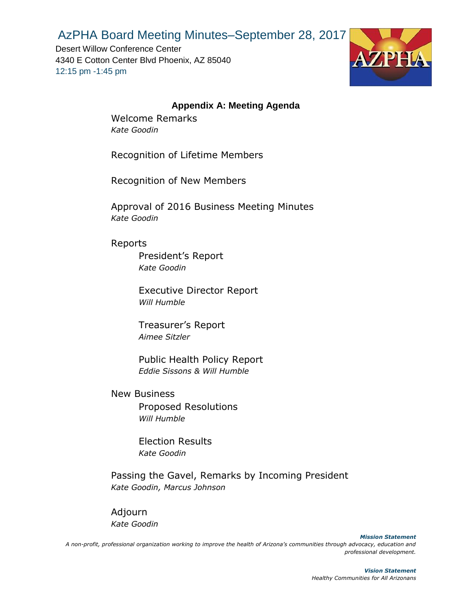Desert Willow Conference Center 4340 E Cotton Center Blvd Phoenix, AZ 85040 12:15 pm -1:45 pm



#### **Appendix A: Meeting Agenda**

Welcome Remarks *Kate Goodin*

Recognition of Lifetime Members

Recognition of New Members

Approval of 2016 Business Meeting Minutes *Kate Goodin*

#### Reports

President's Report *Kate Goodin*

Executive Director Report *Will Humble*

Treasurer's Report *Aimee Sitzler*

Public Health Policy Report *Eddie Sissons & Will Humble*

New Business Proposed Resolutions *Will Humble* 

> Election Results *Kate Goodin*

Passing the Gavel, Remarks by Incoming President *Kate Goodin, Marcus Johnson*

Adjourn *Kate Goodin*

*Mission Statement A non-profit, professional organization working to improve the health of Arizona's communities through advocacy, education and professional development.*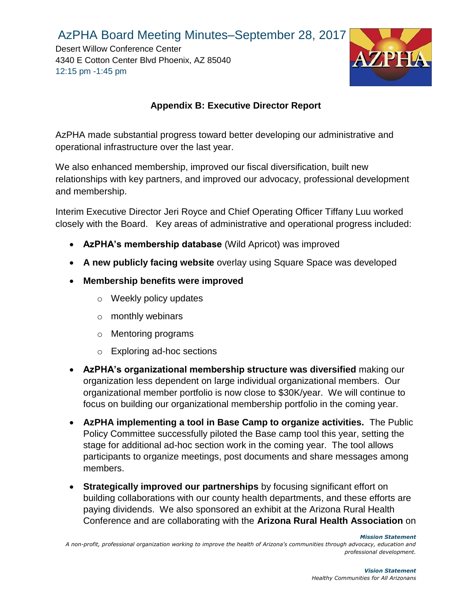Desert Willow Conference Center 4340 E Cotton Center Blvd Phoenix, AZ 85040 12:15 pm -1:45 pm



### **Appendix B: Executive Director Report**

AzPHA made substantial progress toward better developing our administrative and operational infrastructure over the last year.

We also enhanced membership, improved our fiscal diversification, built new relationships with key partners, and improved our advocacy, professional development and membership.

Interim Executive Director Jeri Royce and Chief Operating Officer Tiffany Luu worked closely with the Board. Key areas of administrative and operational progress included:

- **AzPHA's membership database** (Wild Apricot) was improved
- **A new publicly facing website** overlay using Square Space was developed
- **Membership benefits were improved**
	- o Weekly policy updates
	- o monthly webinars
	- o Mentoring programs
	- o Exploring ad-hoc sections
- **AzPHA's organizational membership structure was diversified** making our organization less dependent on large individual organizational members. Our organizational member portfolio is now close to \$30K/year. We will continue to focus on building our organizational membership portfolio in the coming year.
- **AzPHA implementing a tool in Base Camp to organize activities.** The Public Policy Committee successfully piloted the Base camp tool this year, setting the stage for additional ad-hoc section work in the coming year. The tool allows participants to organize meetings, post documents and share messages among members.
- **Strategically improved our partnerships** by focusing significant effort on building collaborations with our county health departments, and these efforts are paying dividends. We also sponsored an exhibit at the Arizona Rural Health Conference and are collaborating with the **Arizona Rural Health Association** on

*Mission Statement*

*A non-profit, professional organization working to improve the health of Arizona's communities through advocacy, education and professional development.*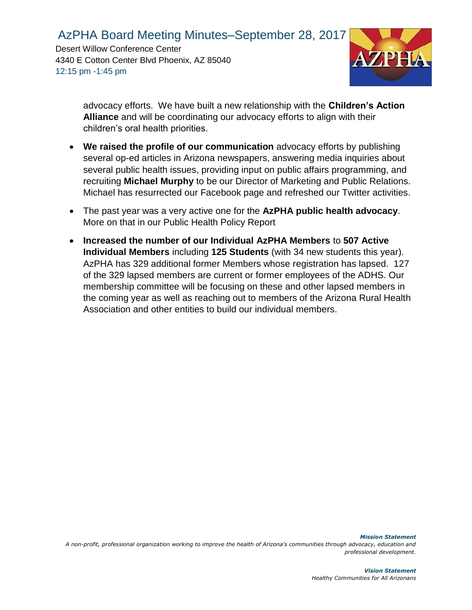Desert Willow Conference Center 4340 E Cotton Center Blvd Phoenix, AZ 85040 12:15 pm -1:45 pm



advocacy efforts. We have built a new relationship with the **Children's Action Alliance** and will be coordinating our advocacy efforts to align with their children's oral health priorities.

- **We raised the profile of our communication** advocacy efforts by publishing several op-ed articles in Arizona newspapers, answering media inquiries about several public health issues, providing input on public affairs programming, and recruiting **Michael Murphy** to be our Director of Marketing and Public Relations. Michael has resurrected our Facebook page and refreshed our Twitter activities.
- The past year was a very active one for the **AzPHA public health advocacy**. More on that in our Public Health Policy Report
- **Increased the number of our Individual AzPHA Members** to **507 Active Individual Members** including **125 Students** (with 34 new students this year). AzPHA has 329 additional former Members whose registration has lapsed. 127 of the 329 lapsed members are current or former employees of the ADHS. Our membership committee will be focusing on these and other lapsed members in the coming year as well as reaching out to members of the Arizona Rural Health Association and other entities to build our individual members.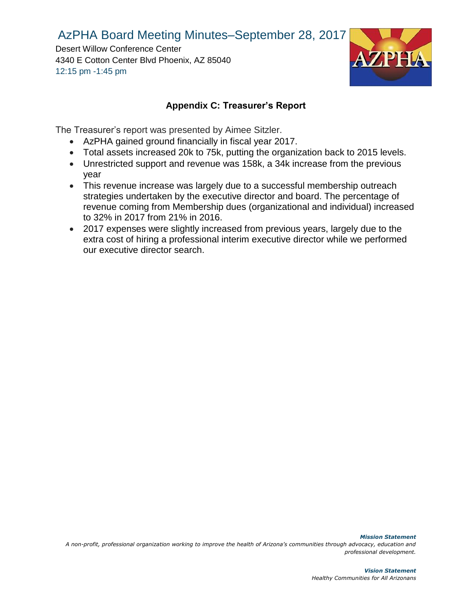Desert Willow Conference Center 4340 E Cotton Center Blvd Phoenix, AZ 85040 12:15 pm -1:45 pm



#### **Appendix C: Treasurer's Report**

The Treasurer's report was presented by Aimee Sitzler.

- AzPHA gained ground financially in fiscal year 2017.
- Total assets increased 20k to 75k, putting the organization back to 2015 levels.
- Unrestricted support and revenue was 158k, a 34k increase from the previous year
- This revenue increase was largely due to a successful membership outreach strategies undertaken by the executive director and board. The percentage of revenue coming from Membership dues (organizational and individual) increased to 32% in 2017 from 21% in 2016.
- 2017 expenses were slightly increased from previous years, largely due to the extra cost of hiring a professional interim executive director while we performed our executive director search.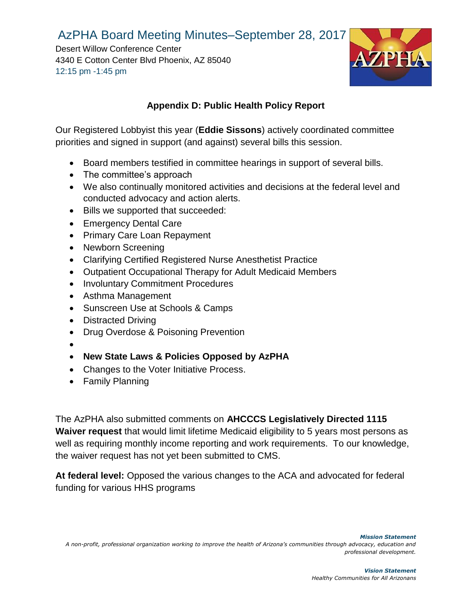Desert Willow Conference Center 4340 E Cotton Center Blvd Phoenix, AZ 85040 12:15 pm -1:45 pm



## **Appendix D: Public Health Policy Report**

Our Registered Lobbyist this year (**Eddie Sissons**) actively coordinated committee priorities and signed in support (and against) several bills this session.

- Board members testified in committee hearings in support of several bills.
- The committee's approach
- We also continually monitored activities and decisions at the federal level and conducted advocacy and action alerts.
- Bills we supported that succeeded:
- Emergency Dental Care
- Primary Care Loan Repayment
- Newborn Screening
- Clarifying Certified Registered Nurse Anesthetist Practice
- Outpatient Occupational Therapy for Adult Medicaid Members
- Involuntary Commitment Procedures
- Asthma Management
- Sunscreen Use at Schools & Camps
- Distracted Driving
- Drug Overdose & Poisoning Prevention
- •
- **New State Laws & Policies Opposed by AzPHA**
- Changes to the Voter Initiative Process.
- Family Planning

The AzPHA also submitted comments on **AHCCCS Legislatively Directed 1115 Waiver request** that would limit lifetime Medicaid eligibility to 5 years most persons as well as requiring monthly income reporting and work requirements. To our knowledge, the waiver request has not yet been submitted to CMS.

**At federal level:** Opposed the various changes to the ACA and advocated for federal funding for various HHS programs